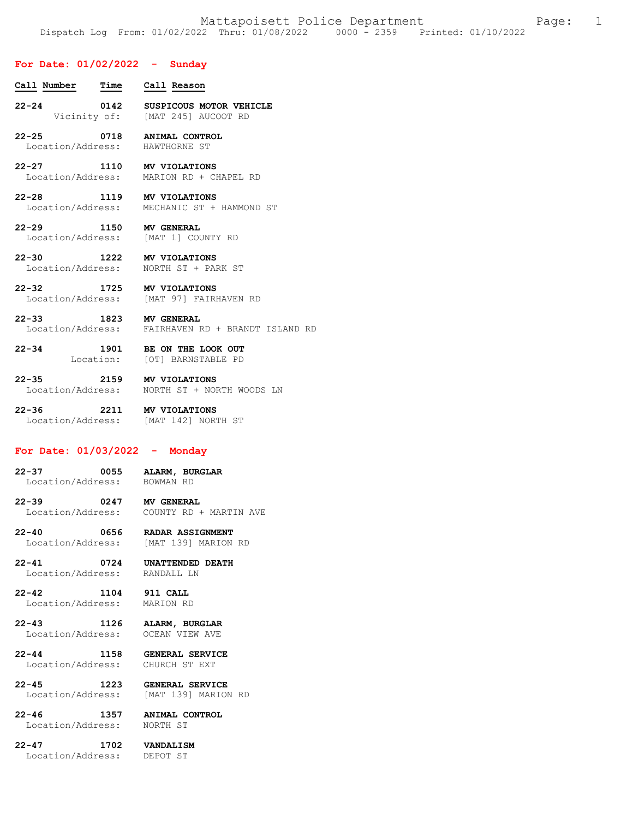# **For Date: 01/02/2022 - Sunday**

- **Call Number Time Call Reason 22-24 0142 SUSPICOUS MOTOR VEHICLE**  Vicinity of: [MAT 245] AUCOOT RD
- **22-25 0718 ANIMAL CONTROL**  Location/Address:
- **22-27 1110 MV VIOLATIONS**  Location/Address: MARION RD + CHAPEL RD
- **22-28 1119 MV VIOLATIONS**  MECHANIC ST + HAMMOND ST
- **22-29 1150 MV GENERAL**  Location/Address:
- **22-30 1222 MV VIOLATIONS**  Location/Address: NORTH ST + PARK ST
- **22-32 1725 MV VIOLATIONS**  Location/Address: [MAT 97] FAIRHAVEN RD
- **22-33 1823 MV GENERAL**  Location/Address: FAIRHAVEN RD + BRANDT ISLAND RD
- **22-34 1901 BE ON THE LOOK OUT**  [OT] BARNSTABLE PD
- **22-35 2159 MV VIOLATIONS**  Location/Address: NORTH ST + NORTH WOODS LN
- **22-36 2211 MV VIOLATIONS**  Location/Address: [MAT 142] NORTH ST

## **For Date: 01/03/2022 - Monday**

- **22-37 0055 ALARM, BURGLAR**  Location/Address:
- **22-39 0247 MV GENERAL**  COUNTY RD + MARTIN AVE
- **22-40 0656 RADAR ASSIGNMENT**  Location/Address: [MAT 139] MARION RD
- **22-41 0724 UNATTENDED DEATH**  Location/Address:
- **22-42 1104 911 CALL**  Location/Address: MARION RD
- **22-43 1126 ALARM, BURGLAR**  Location/Address:
- **22-44 1158 GENERAL SERVICE**  Location/Address:
- **22-45 1223 GENERAL SERVICE**  Location/Address: [MAT 139] MARION RD
- Location/Address:
- **22-46 1357 ANIMAL CONTROL**
- **22-47 1702 VANDALISM**  Location/Address: DEPOT ST
-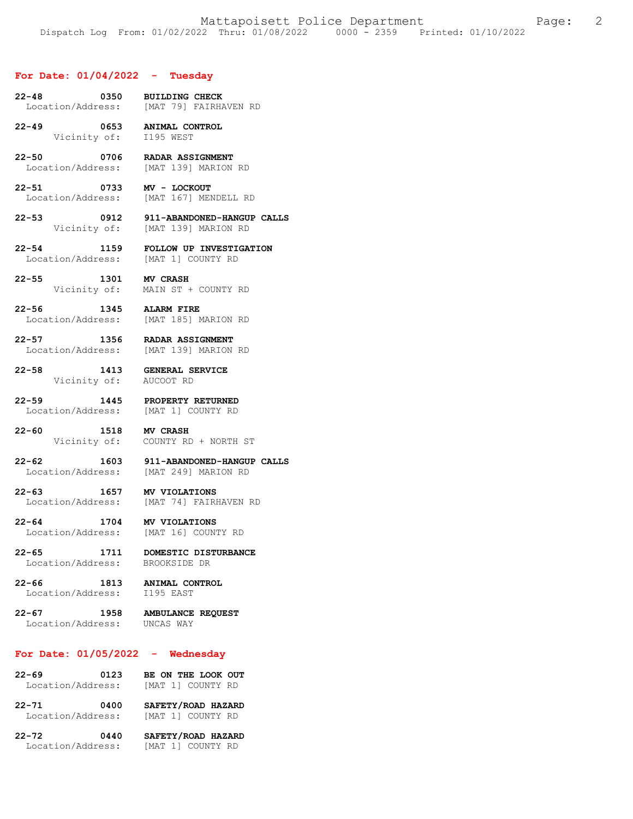#### **For Date: 01/04/2022 - Tuesday**

- **22-48 0350 BUILDING CHECK**  [MAT 79] FAIRHAVEN RD
- **22-49 0653 ANIMAL CONTROL**  Vicinity of: I195 WEST
- **22-50 0706 RADAR ASSIGNMENT**  Location/Address: [MAT 139] MARION RD
- **22-51 0733 MV LOCKOUT**  Location/Address: [MAT 167] MENDELL RD
- **22-53 0912 911-ABANDONED-HANGUP CALLS**  Vicinity of: [MAT 139] MARION RD
- **22-54 1159 FOLLOW UP INVESTIGATION**  Location/Address: [MAT 1] COUNTY RD
- **22-55 1301 MV CRASH**  Vicinity of: MAIN ST + COUNTY RD
- **22-56 1345 ALARM FIRE**  Location/Address: [MAT 185] MARION RD
- **22-57 1356 RADAR ASSIGNMENT**  Location/Address: [MAT 139] MARION RD
- **22-58 1413 GENERAL SERVICE**  Vicinity of: AUCOOT RD
- **22-59 1445 PROPERTY RETURNED**  Location/Address:
- **22-60 1518 MV CRASH**  Vicinity of: COUNTY RD + NORTH ST
- **22-62 1603 911-ABANDONED-HANGUP CALLS**  Location/Address: [MAT 249] MARION RD
- **22-63 1657 MV VIOLATIONS**  [MAT 74] FAIRHAVEN RD
- **22-64 1704 MV VIOLATIONS**  Location/Address:
- **22-65 1711 DOMESTIC DISTURBANCE**  Location/Address: BROOKSIDE DR
- **22-66 1813 ANIMAL CONTROL**  Location/Address:
	-
- **22-67 1958 AMBULANCE REQUEST**  Location/Address: UNCAS WAY
	-

# **For Date: 01/05/2022 - Wednesday**

| $22 - 69$         | 0123 |  | BE ON THE LOOK OUT |  |
|-------------------|------|--|--------------------|--|
| Location/Address: |      |  | [MAT 1] COUNTY RD  |  |

- **22-71 0400 SAFETY/ROAD HAZARD**  Location/Address: [MAT 1] COUNTY RD
- **22-72 0440 SAFETY/ROAD HAZARD**  Location/Address: [MAT 1] COUNTY RD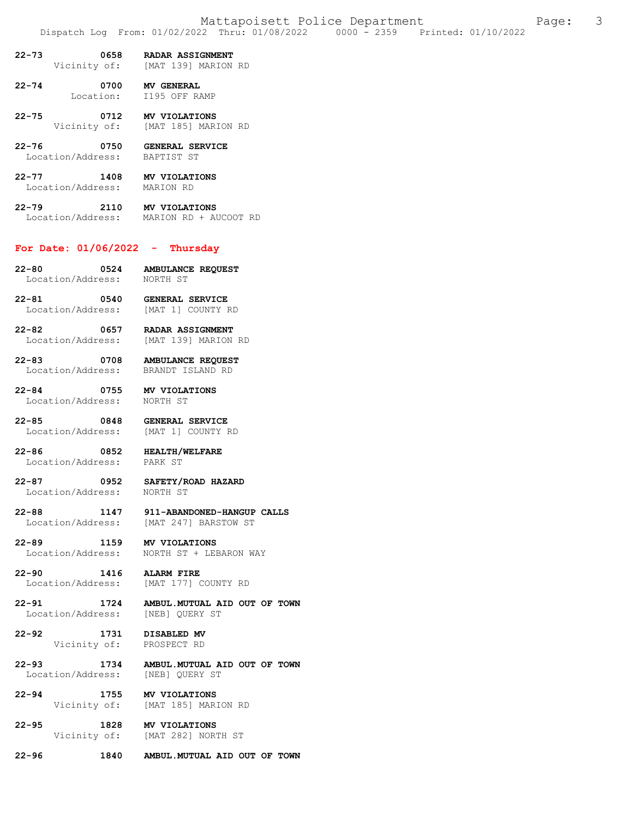- **22-73 0658 RADAR ASSIGNMENT**
- [MAT 139] MARION RD
- **22-74 0700 MV GENERAL**  Location: I195 OFF RAMP
- **22-75 0712 MV VIOLATIONS**  Vicinity of: [MAT 185] MARION RD
- **22-76 0750 GENERAL SERVICE**  Location/Address:
- **22-77 1408 MV VIOLATIONS**  Location/Address:
- **22-79 2110 MV VIOLATIONS**<br>Location/Address: MARION RD + AU MARION RD + AUCOOT RD

# **For Date: 01/06/2022 - Thursday**

- **22-80 0524 AMBULANCE REQUEST**  Location/Address:
- **22-81 0540 GENERAL SERVICE**  [MAT 1] COUNTY RD
- **22-82 0657 RADAR ASSIGNMENT**  [MAT 139] MARION RD
- **22-83 0708 AMBULANCE REQUEST**  Location/Address: BRANDT ISLAND RD
- **22-84 0755 MV VIOLATIONS**  Location/Address: NORTH ST
- **22-85 0848 GENERAL SERVICE**  Location/Address:
- **22-86 0852 HEALTH/WELFARE**  Location/Address:
	-
- **22-87 0952 SAFETY/ROAD HAZARD**  Location/Address:
- **22-88 1147 911-ABANDONED-HANGUP CALLS**  [MAT 247] BARSTOW ST
- **22-89 1159 MV VIOLATIONS**  Location/Address: NORTH ST + LEBARON WAY
- **22-90 1416 ALARM FIRE**  Location/Address: [MAT 177] COUNTY RD
- **22-91 1724 AMBUL.MUTUAL AID OUT OF TOWN**  Location/Address:
- 22-92 **1731 DISABLED MV**<br>Vicinity of: PROSPECT RD Vicinity of:
- **22-93 1734 AMBUL.MUTUAL AID OUT OF TOWN**  Location/Address: [NEB] QUERY ST
- **22-94 1755 MV VIOLATIONS**  [MAT 185] MARION RD
- **22-95 1828 MV VIOLATIONS**  [MAT 282] NORTH ST
- **22-96 1840 AMBUL.MUTUAL AID OUT OF TOWN**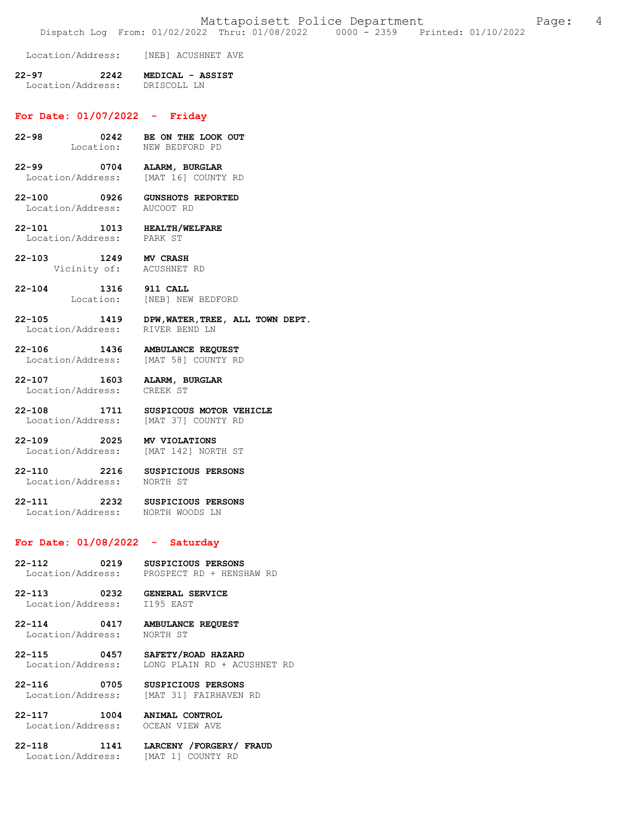Location/Address: [NEB] ACUSHNET AVE

### **22-97 2242 MEDICAL - ASSIST**  Location/Address:

## **For Date: 01/07/2022 - Friday**

- **22-98 0242 BE ON THE LOOK OUT**  NEW BEDFORD PD
- **22-99 0704 ALARM, BURGLAR**  Location/Address: [MAT 16] COUNTY RD
- **22-100 0926 GUNSHOTS REPORTED**  Location/Address: AUCOOT RD
- **22-101 1013 HEALTH/WELFARE**  Location/Address:
- **22-103 1249 MV CRASH**  Vicinity of: ACUSHNET RD
- **22-104 1316 911 CALL**  [NEB] NEW BEDFORD
- **22-105 1419 DPW,WATER,TREE, ALL TOWN DEPT.**  Location/Address: RIVER BEND LN
- **22-106 1436 AMBULANCE REQUEST**  Location/Address: [MAT 58] COUNTY RD
- **22-107 1603 ALARM, BURGLAR**  Location/Address:
- **22-108 1711 SUSPICOUS MOTOR VEHICLE**  Location/Address: [MAT 37] COUNTY RD
- **22-109 2025 MV VIOLATIONS**  Location/Address:
- **22-110 2216 SUSPICIOUS PERSONS**  Location/Address: NORTH ST

# 22-111 2232 SUSPICIOUS PERSONS<br>
Location/Address: NORTH WOODS LN Location/Address:

# **For Date: 01/08/2022 - Saturday**

- **22-112 0219 SUSPICIOUS PERSONS**  Location/Address: PROSPECT RD + HENSHAW RD
- **22-113 0232 GENERAL SERVICE**  Location/Address:
- **22-114 0417 AMBULANCE REQUEST**  Location/Address: NORTH ST
- **22-115 0457 SAFETY/ROAD HAZARD**  LONG PLAIN RD + ACUSHNET RD
- **22-116 0705 SUSPICIOUS PERSONS**  [MAT 31] FAIRHAVEN RD
- **22-117 1004 ANIMAL CONTROL**

Location/Address: OCEAN VIEW AVE

- **22-118 1141 LARCENY /FORGERY/ FRAUD**  Location/Address: [MAT 1] COUNTY RD
-